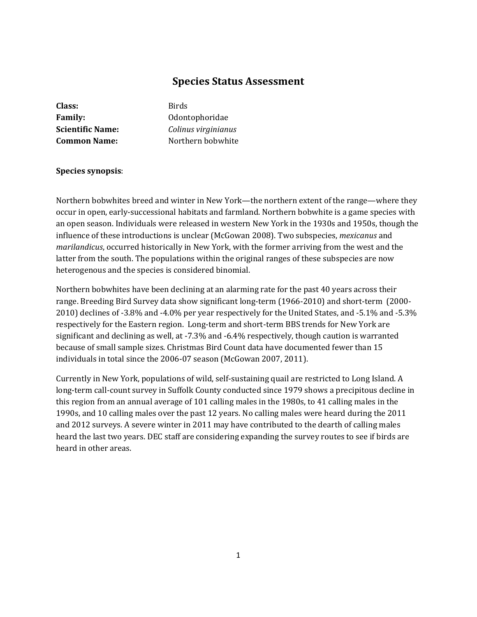# **Species Status Assessment**

| Class:                  |
|-------------------------|
| <b>Family:</b>          |
| <b>Scientific Name:</b> |
| <b>Common Name:</b>     |

**Class:** Birds **Family:** Odontophoridae **Scientific Name:** *Colinus virginianus* **Common Name:** Northern bobwhite

# **Species synopsis**:

Northern bobwhites breed and winter in New York—the northern extent of the range—where they occur in open, early-successional habitats and farmland. Northern bobwhite is a game species with an open season. Individuals were released in western New York in the 1930s and 1950s, though the influence of these introductions is unclear (McGowan 2008). Two subspecies, *mexicanus* and *marilandicus*, occurred historically in New York, with the former arriving from the west and the latter from the south. The populations within the original ranges of these subspecies are now heterogenous and the species is considered binomial.

Northern bobwhites have been declining at an alarming rate for the past 40 years across their range. Breeding Bird Survey data show significant long-term (1966-2010) and short-term (2000- 2010) declines of -3.8% and -4.0% per year respectively for the United States, and -5.1% and -5.3% respectively for the Eastern region. Long-term and short-term BBS trends for New York are significant and declining as well, at -7.3% and -6.4% respectively, though caution is warranted because of small sample sizes. Christmas Bird Count data have documented fewer than 15 individuals in total since the 2006-07 season (McGowan 2007, 2011).

Currently in New York, populations of wild, self-sustaining quail are restricted to Long Island. A long-term call-count survey in Suffolk County conducted since 1979 shows a precipitous decline in this region from an annual average of 101 calling males in the 1980s, to 41 calling males in the 1990s, and 10 calling males over the past 12 years. No calling males were heard during the 2011 and 2012 surveys. A severe winter in 2011 may have contributed to the dearth of calling males heard the last two years. DEC staff are considering expanding the survey routes to see if birds are heard in other areas.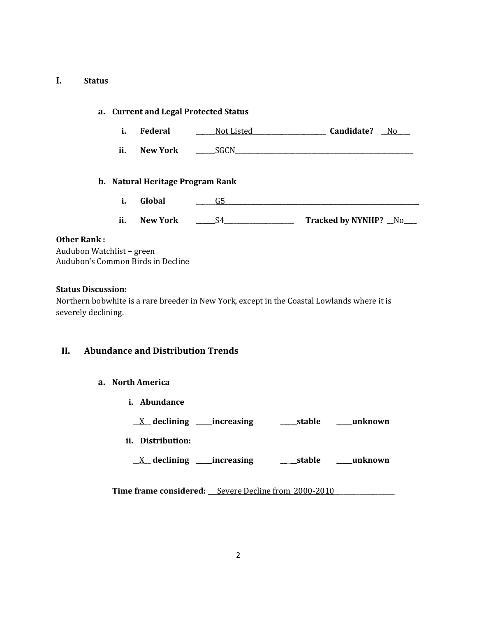# **I. Status**

|                    | a. Current and Legal Protected Status |                                         |            |                      |
|--------------------|---------------------------------------|-----------------------------------------|------------|----------------------|
|                    | i.                                    | Federal                                 | Not Listed | Candidate?<br>No.    |
|                    | ii.                                   | <b>New York</b>                         | SGCN       |                      |
|                    |                                       | <b>b.</b> Natural Heritage Program Rank |            |                      |
|                    | i.                                    | Global                                  | G5         |                      |
|                    | ii.                                   | <b>New York</b>                         | S4         | Tracked by NYNHP? No |
| <b>Other Rank:</b> |                                       |                                         |            |                      |

Audubon Watchlist – green Audubon's Common Birds in Decline

# **Status Discussion:**

Northern bobwhite is a rare breeder in New York, except in the Coastal Lowlands where it is severely declining.

# **II. Abundance and Distribution Trends**

# **a. North America**

**i. Abundance**

\_\_X\_\_ **declining \_\_\_\_\_increasing \_\_ \_\_stable \_\_\_\_\_unknown**

- **ii. Distribution:**
	- \_\_X\_\_ **declining \_\_\_\_\_increasing \_\_ \_\_stable \_\_\_\_\_unknown**

**Time frame considered:** Severe Decline from 2000-2010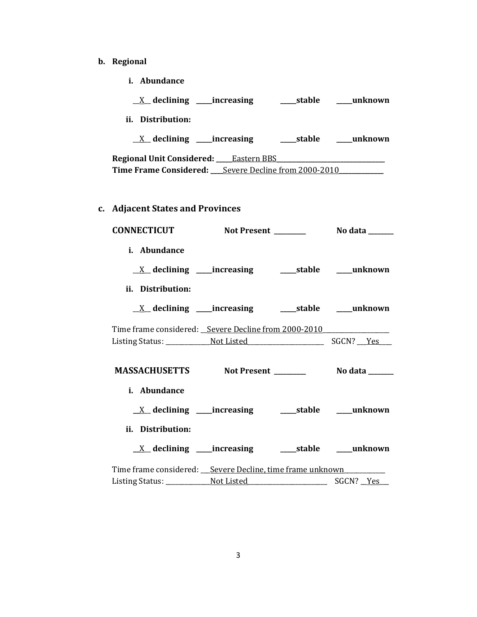- **b. Regional**
	- **i. Abundance**

| $X$ declining _____increasing                               | ___stable  | unknown |
|-------------------------------------------------------------|------------|---------|
| ii. Distribution:                                           |            |         |
| $X$ declining _____increasing                               | ____stable | unknown |
| <b>Regional Unit Considered:</b> Eastern BBS                |            |         |
| <b>Time Frame Considered:</b> Severe Decline from 2000-2010 |            |         |
|                                                             |            |         |

**c. Adjacent States and Provinces**

|                                   | CONNECTICUT Not Present ________ No data _____                                   |  |
|-----------------------------------|----------------------------------------------------------------------------------|--|
| i. Abundance<br>ii. Distribution: |                                                                                  |  |
|                                   |                                                                                  |  |
|                                   | Time frame considered: _Severe Decline from 2000-2010___________________________ |  |
|                                   |                                                                                  |  |
| i. Abundance<br>ii. Distribution: |                                                                                  |  |
|                                   |                                                                                  |  |
|                                   | Time frame considered: ___ Severe Decline, time frame unknown ____________       |  |
|                                   |                                                                                  |  |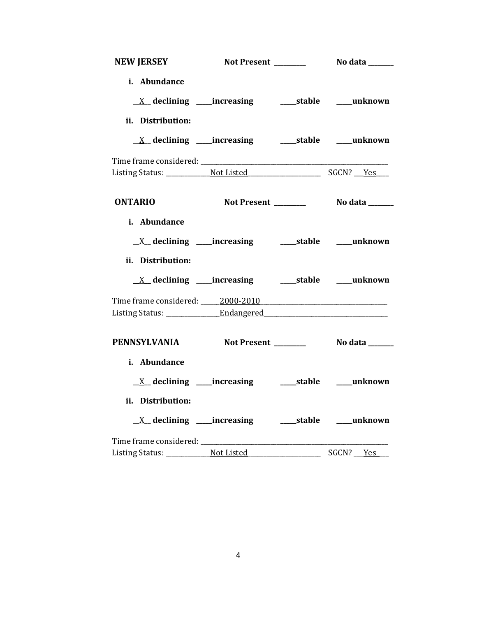| NEW JERSEY                                                   |                                                            |                       |
|--------------------------------------------------------------|------------------------------------------------------------|-----------------------|
| i. Abundance                                                 |                                                            |                       |
|                                                              |                                                            |                       |
| ii. Distribution:                                            |                                                            |                       |
| <u>X</u> declining ____increasing _______stable _____unknown |                                                            |                       |
|                                                              |                                                            |                       |
|                                                              |                                                            |                       |
| <b>ONTARIO</b>                                               | Not Present _______                                        | <b>No data</b> ______ |
| i. Abundance                                                 |                                                            |                       |
|                                                              |                                                            |                       |
| ii. Distribution:                                            |                                                            |                       |
| <u>X</u> declining ____increasing _______stable _____unknown |                                                            |                       |
|                                                              |                                                            |                       |
|                                                              |                                                            |                       |
| PENNSYLVANIA Not Present _______                             |                                                            | <b>No data</b> ______ |
| i. Abundance                                                 |                                                            |                       |
|                                                              |                                                            |                       |
| ii. Distribution:                                            |                                                            |                       |
|                                                              | <u>X</u> declining ____increasing ______stable ____unknown |                       |
|                                                              |                                                            |                       |
|                                                              |                                                            | SGCN? <u>Yes</u>      |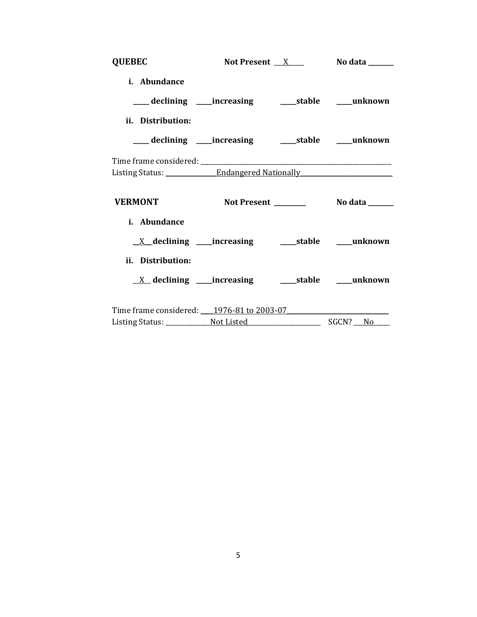| <b>QUEBEC</b>     | Not Present $X$ No data ________                                                 |  |
|-------------------|----------------------------------------------------------------------------------|--|
| i. Abundance      |                                                                                  |  |
|                   | ___ declining ____ increasing _____ stable ____ unknown                          |  |
| ii. Distribution: |                                                                                  |  |
|                   | ___ declining ____increasing ______stable _____unknown                           |  |
|                   |                                                                                  |  |
|                   | Listing Status: _______________Endangered Nationally ___________________________ |  |
|                   |                                                                                  |  |
|                   | VERMONT Not Present Not also No data No.                                         |  |
| i. Abundance      |                                                                                  |  |
|                   |                                                                                  |  |
| ii. Distribution: |                                                                                  |  |
|                   |                                                                                  |  |
|                   | Time frame considered: 1976-81 to 2003-07                                        |  |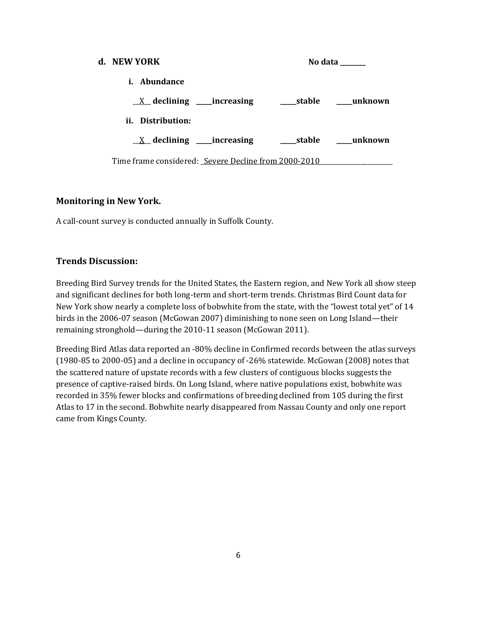| d. NEW YORK                                          |  | No data |
|------------------------------------------------------|--|---------|
| <i>i.</i> Abundance                                  |  |         |
|                                                      |  |         |
| ii. Distribution:                                    |  |         |
| $X$ declining ______increasing                       |  |         |
| Time frame considered: Severe Decline from 2000-2010 |  |         |

# **Monitoring in New York.**

A call-count survey is conducted annually in Suffolk County.

# **Trends Discussion:**

Breeding Bird Survey trends for the United States, the Eastern region, and New York all show steep and significant declines for both long-term and short-term trends. Christmas Bird Count data for New York show nearly a complete loss of bobwhite from the state, with the "lowest total yet" of 14 birds in the 2006-07 season (McGowan 2007) diminishing to none seen on Long Island—their remaining stronghold—during the 2010-11 season (McGowan 2011).

Breeding Bird Atlas data reported an -80% decline in Confirmed records between the atlas surveys (1980-85 to 2000-05) and a decline in occupancy of -26% statewide. McGowan (2008) notes that the scattered nature of upstate records with a few clusters of contiguous blocks suggests the presence of captive-raised birds. On Long Island, where native populations exist, bobwhite was recorded in 35% fewer blocks and confirmations of breeding declined from 105 during the first Atlas to 17 in the second. Bobwhite nearly disappeared from Nassau County and only one report came from Kings County.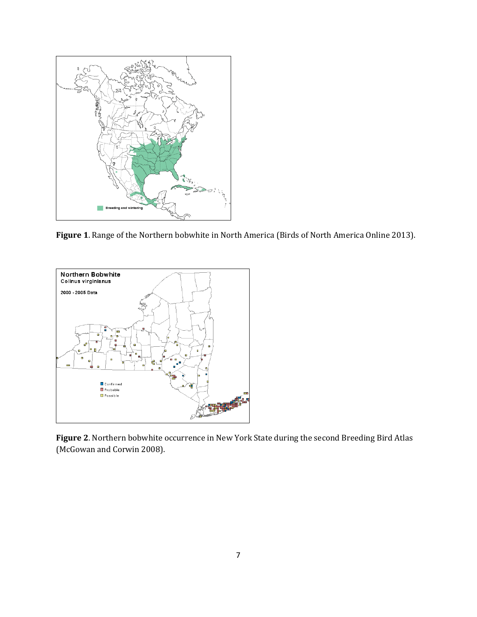

**Figure 1**. Range of the Northern bobwhite in North America (Birds of North America Online 2013).



**Figure 2**. Northern bobwhite occurrence in New York State during the second Breeding Bird Atlas (McGowan and Corwin 2008).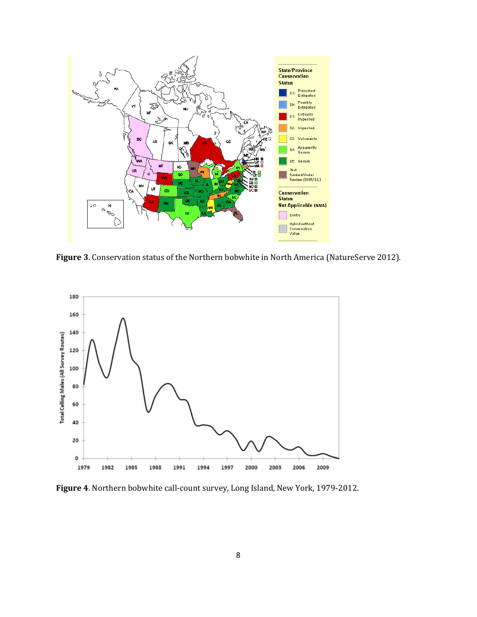

**Figure 3**. Conservation status of the Northern bobwhite in North America (NatureServe 2012).



**Figure 4**. Northern bobwhite call-count survey, Long Island, New York, 1979-2012.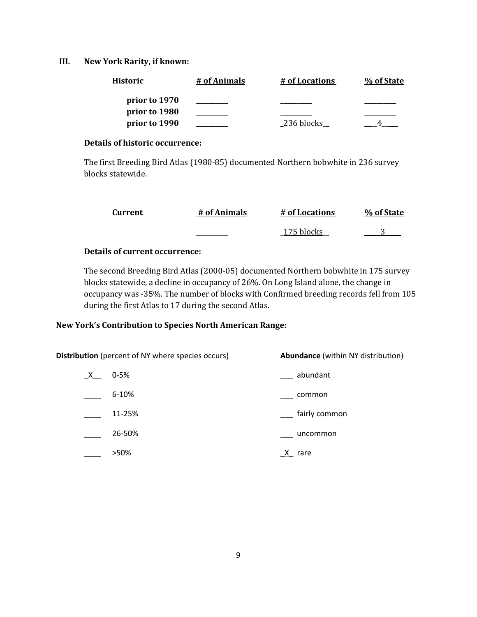# **III. New York Rarity, if known:**

| Historic      | # of Animals | # of Locations | % of State |
|---------------|--------------|----------------|------------|
| prior to 1970 |              |                |            |
| prior to 1980 |              |                |            |
| prior to 1990 |              | 236 blocks     |            |

#### **Details of historic occurrence:**

The first Breeding Bird Atlas (1980-85) documented Northern bobwhite in 236 survey blocks statewide.

| Current | # of Animals | # of Locations | % of State |
|---------|--------------|----------------|------------|
|         |              | 175 blocks     |            |

# **Details of current occurrence:**

The second Breeding Bird Atlas (2000-05) documented Northern bobwhite in 175 survey blocks statewide, a decline in occupancy of 26%. On Long Island alone, the change in occupancy was -35%. The number of blocks with Confirmed breeding records fell from 105 during the first Atlas to 17 during the second Atlas.

# **New York's Contribution to Species North American Range:**

|   | Distribution (percent of NY where species occurs) | <b>Abundance</b> (within NY distribution) |
|---|---------------------------------------------------|-------------------------------------------|
| X | $0 - 5%$                                          | abundant                                  |
|   | $6 - 10%$                                         | common                                    |
|   | 11-25%                                            | fairly common                             |
|   | 26-50%                                            | uncommon                                  |
|   | >50%                                              | X.<br>rare                                |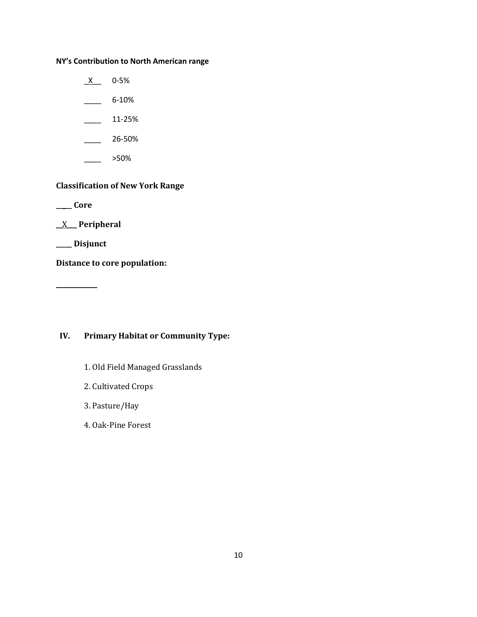# **NY's Contribution to North American range**

 $X$  0-5%  $-$  6-10%

 $\frac{11-25\%}{2}$ 

 $\frac{26-50\%}{26}$ 

\_\_\_\_ >50%

# **Classification of New York Range**

**\_\_\_\_\_ Core**

\_\_X\_\_\_ **Peripheral**

**\_\_\_\_\_ Disjunct**

**\_\_\_\_\_\_\_\_\_\_\_**

**Distance to core population:**

**IV. Primary Habitat or Community Type:** 

- 1. Old Field Managed Grasslands
- 2. Cultivated Crops
- 3. Pasture/Hay
- 4. Oak-Pine Forest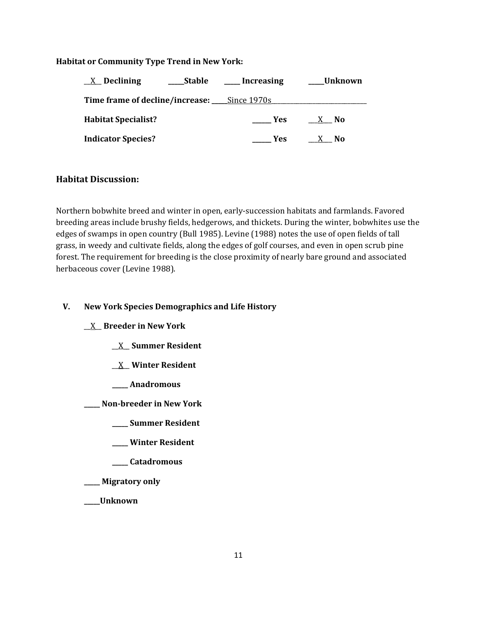## **Habitat or Community Type Trend in New York:**

| Stable<br>$X$ Declining                            | __ Increasing | <b>Unknown</b> |
|----------------------------------------------------|---------------|----------------|
| <b>Time frame of decline/increase:</b> Since 1970s |               |                |
| <b>Habitat Specialist?</b>                         | Yes           | X No           |
| <b>Indicator Species?</b>                          | <b>Yes</b>    | - No           |

# **Habitat Discussion:**

Northern bobwhite breed and winter in open, early-succession habitats and farmlands. Favored breeding areas include brushy fields, hedgerows, and thickets. During the winter, bobwhites use the edges of swamps in open country (Bull 1985). Levine (1988) notes the use of open fields of tall grass, in weedy and cultivate fields, along the edges of golf courses, and even in open scrub pine forest. The requirement for breeding is the close proximity of nearly bare ground and associated herbaceous cover (Levine 1988).

# **V. New York Species Demographics and Life History**

\_\_X\_\_ **Breeder in New York**

- \_\_X\_\_ **Summer Resident**
- \_\_X\_\_ **Winter Resident**
- **\_\_\_\_\_ Anadromous**

**\_\_\_\_\_ Non-breeder in New York**

- **\_\_\_\_\_ Summer Resident**
- **\_\_\_\_\_ Winter Resident**
- **\_\_\_\_\_ Catadromous**

**\_\_\_\_\_ Migratory only**

**\_\_\_\_\_Unknown**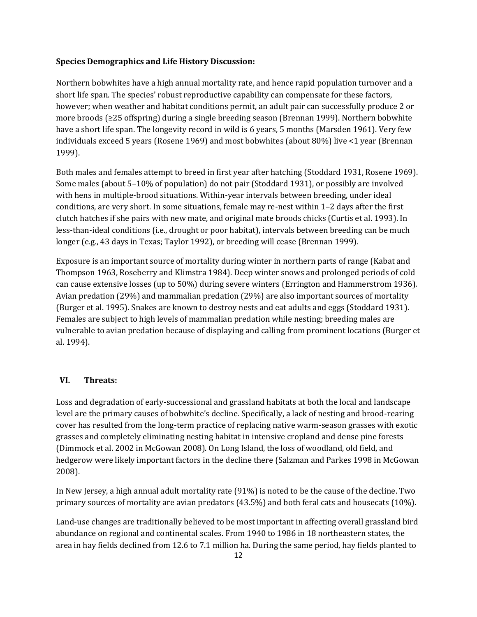#### **Species Demographics and Life History Discussion:**

Northern bobwhites have a high annual mortality rate, and hence rapid population turnover and a short life span. The species' robust reproductive capability can compensate for these factors, however; when weather and habitat conditions permit, an adult pair can successfully produce 2 or more broods (≥25 offspring) during a single breeding season (Brennan 1999). Northern bobwhite have a short life span. The longevity record in wild is 6 years, 5 months (Marsden 1961). Very few individuals exceed 5 years (Rosene 1969) and most bobwhites (about 80%) live <1 year (Brennan 1999).

Both males and females attempt to breed in first year after hatching (Stoddard 1931, Rosene 1969). Some males (about 5–10% of population) do not pair (Stoddard 1931), or possibly are involved with hens in multiple-brood situations. Within-year intervals between breeding, under ideal conditions, are very short. In some situations, female may re-nest within 1–2 days after the first clutch hatches if she pairs with new mate, and original mate broods chicks (Curtis et al. 1993). In less-than-ideal conditions (i.e., drought or poor habitat), intervals between breeding can be much longer (e.g., 43 days in Texas; Taylor 1992), or breeding will cease (Brennan 1999).

Exposure is an important source of mortality during winter in northern parts of range (Kabat and Thompson 1963, Roseberry and Klimstra 1984). Deep winter snows and prolonged periods of cold can cause extensive losses (up to 50%) during severe winters (Errington and Hammerstrom 1936). Avian predation (29%) and mammalian predation (29%) are also important sources of mortality (Burger et al. 1995). Snakes are known to destroy nests and eat adults and eggs (Stoddard 1931). Females are subject to high levels of mammalian predation while nesting; breeding males are vulnerable to avian predation because of displaying and calling from prominent locations (Burger et al. 1994).

#### **VI. Threats:**

Loss and degradation of early-successional and grassland habitats at both the local and landscape level are the primary causes of bobwhite's decline. Specifically, a lack of nesting and brood-rearing cover has resulted from the long-term practice of replacing native warm-season grasses with exotic grasses and completely eliminating nesting habitat in intensive cropland and dense pine forests (Dimmock et al. 2002 in McGowan 2008). On Long Island, the loss of woodland, old field, and hedgerow were likely important factors in the decline there (Salzman and Parkes 1998 in McGowan 2008).

In New Jersey, a high annual adult mortality rate (91%) is noted to be the cause of the decline. Two primary sources of mortality are avian predators (43.5%) and both feral cats and housecats (10%).

Land-use changes are traditionally believed to be most important in affecting overall grassland bird abundance on regional and continental scales. From 1940 to 1986 in 18 northeastern states, the area in hay fields declined from 12.6 to 7.1 million ha. During the same period, hay fields planted to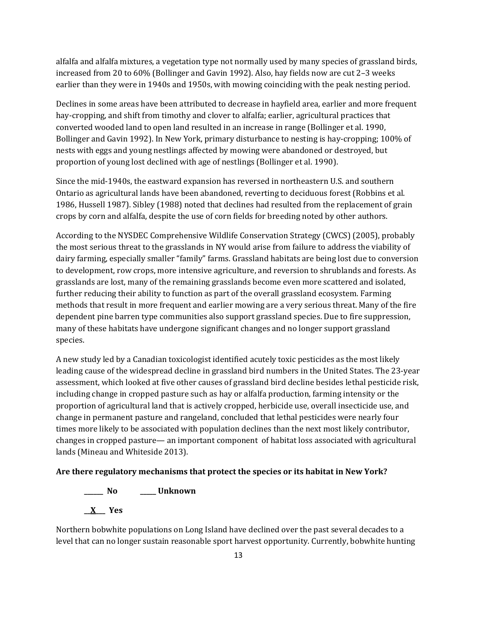alfalfa and alfalfa mixtures, a vegetation type not normally used by many species of grassland birds, increased from 20 to 60% (Bollinger and Gavin 1992). Also, hay fields now are cut 2–3 weeks earlier than they were in 1940s and 1950s, with mowing coinciding with the peak nesting period.

Declines in some areas have been attributed to decrease in hayfield area, earlier and more frequent hay-cropping, and shift from timothy and clover to alfalfa; earlier, agricultural practices that converted wooded land to open land resulted in an increase in range (Bollinger et al. 1990, Bollinger and Gavin 1992). In New York, primary disturbance to nesting is hay-cropping; 100% of nests with eggs and young nestlings affected by mowing were abandoned or destroyed, but proportion of young lost declined with age of nestlings (Bollinger et al. 1990).

Since the mid-1940s, the eastward expansion has reversed in northeastern U.S. and southern Ontario as agricultural lands have been abandoned, reverting to deciduous forest (Robbins et al. 1986, Hussell 1987). Sibley (1988) noted that declines had resulted from the replacement of grain crops by corn and alfalfa, despite the use of corn fields for breeding noted by other authors.

According to the NYSDEC Comprehensive Wildlife Conservation Strategy (CWCS) (2005), probably the most serious threat to the grasslands in NY would arise from failure to address the viability of dairy farming, especially smaller "family" farms. Grassland habitats are being lost due to conversion to development, row crops, more intensive agriculture, and reversion to shrublands and forests. As grasslands are lost, many of the remaining grasslands become even more scattered and isolated, further reducing their ability to function as part of the overall grassland ecosystem. Farming methods that result in more frequent and earlier mowing are a very serious threat. Many of the fire dependent pine barren type communities also support grassland species. Due to fire suppression, many of these habitats have undergone significant changes and no longer support grassland species.

A new study led by a Canadian toxicologist identified acutely toxic pesticides as the most likely leading cause of the widespread decline in grassland bird numbers in the United States. The 23-year assessment, which looked at five other causes of grassland bird decline besides lethal pesticide risk, including change in cropped pasture such as hay or alfalfa production, farming intensity or the proportion of agricultural land that is actively cropped, herbicide use, overall insecticide use, and change in permanent pasture and rangeland, concluded that lethal pesticides were nearly four times more likely to be associated with population declines than the next most likely contributor, changes in cropped pasture— an important component of habitat loss associated with agricultural lands (Mineau and Whiteside 2013).

## **Are there regulatory mechanisms that protect the species or its habitat in New York?**

**\_\_\_\_\_\_ No \_\_\_\_\_ Unknown \_\_X\_\_\_ Yes** 

Northern bobwhite populations on Long Island have declined over the past several decades to a level that can no longer sustain reasonable sport harvest opportunity. Currently, bobwhite hunting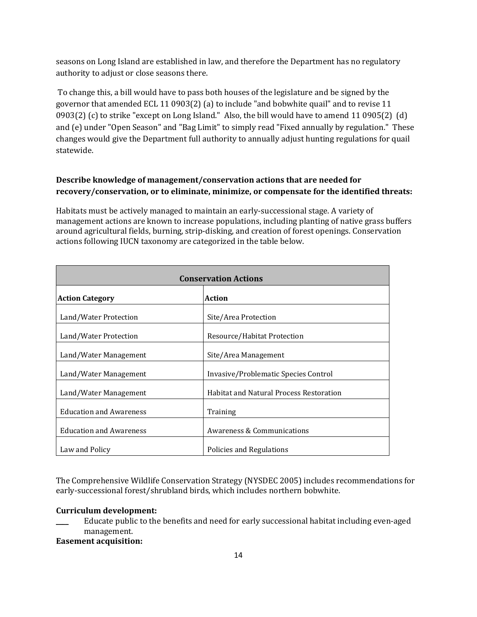seasons on Long Island are established in law, and therefore the Department has no regulatory authority to adjust or close seasons there.

To change this, a bill would have to pass both houses of the legislature and be signed by the governor that amended ECL 11 0903(2) (a) to include "and bobwhite quail" and to revise 11 0903(2) (c) to strike "except on Long Island." Also, the bill would have to amend 11 0905(2) (d) and (e) under "Open Season" and "Bag Limit" to simply read "Fixed annually by regulation." These changes would give the Department full authority to annually adjust hunting regulations for quail statewide.

# **Describe knowledge of management/conservation actions that are needed for recovery/conservation, or to eliminate, minimize, or compensate for the identified threats:**

Habitats must be actively managed to maintain an early-successional stage. A variety of management actions are known to increase populations, including planting of native grass buffers around agricultural fields, burning, strip-disking, and creation of forest openings. Conservation actions following IUCN taxonomy are categorized in the table below.

| <b>Conservation Actions</b>    |                                                |  |
|--------------------------------|------------------------------------------------|--|
| <b>Action Category</b>         | <b>Action</b>                                  |  |
| Land/Water Protection          | Site/Area Protection                           |  |
| Land/Water Protection          | Resource/Habitat Protection                    |  |
| Land/Water Management          | Site/Area Management                           |  |
| Land/Water Management          | Invasive/Problematic Species Control           |  |
| Land/Water Management          | <b>Habitat and Natural Process Restoration</b> |  |
| <b>Education and Awareness</b> | Training                                       |  |
| <b>Education and Awareness</b> | Awareness & Communications                     |  |
| Law and Policy                 | Policies and Regulations                       |  |

The Comprehensive Wildlife Conservation Strategy (NYSDEC 2005) includes recommendations for early-successional forest/shrubland birds, which includes northern bobwhite.

## **Curriculum development:**

Educate public to the benefits and need for early successional habitat including even-aged management.

## **Easement acquisition:**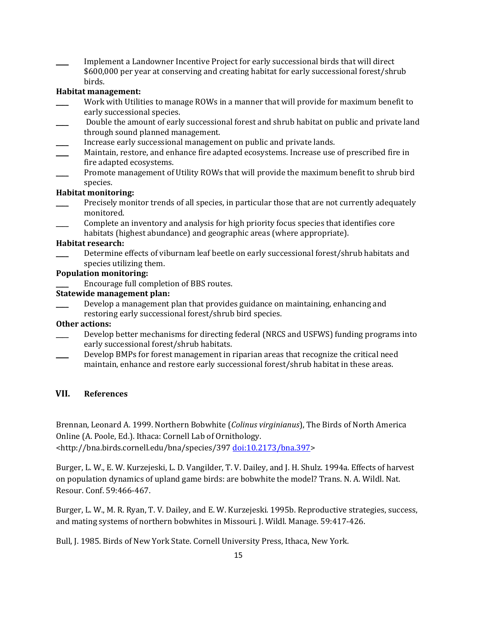Implement a Landowner Incentive Project for early successional birds that will direct \$600,000 per year at conserving and creating habitat for early successional forest/shrub birds.

# **Habitat management:**

- Work with Utilities to manage ROWs in a manner that will provide for maximum benefit to early successional species.
- Double the amount of early successional forest and shrub habitat on public and private land through sound planned management.
- Increase early successional management on public and private lands.
- Maintain, restore, and enhance fire adapted ecosystems. Increase use of prescribed fire in fire adapted ecosystems.
- Promote management of Utility ROWs that will provide the maximum benefit to shrub bird species.

# **Habitat monitoring:**

- Precisely monitor trends of all species, in particular those that are not currently adequately monitored.
- \_\_\_\_ Complete an inventory and analysis for high priority focus species that identifies core habitats (highest abundance) and geographic areas (where appropriate).

#### **Habitat research:**

Determine effects of viburnam leaf beetle on early successional forest/shrub habitats and species utilizing them.

## **Population monitoring:**

\_\_\_\_ Encourage full completion of BBS routes.

## **Statewide management plan:**

Develop a management plan that provides guidance on maintaining, enhancing and restoring early successional forest/shrub bird species.

## **Other actions:**

- Develop better mechanisms for directing federal (NRCS and USFWS) funding programs into early successional forest/shrub habitats.
- \_\_\_\_ Develop BMPs for forest management in riparian areas that recognize the critical need maintain, enhance and restore early successional forest/shrub habitat in these areas.

## **VII. References**

Brennan, Leonard A. 1999. Northern Bobwhite (*Colinus virginianus*), The Birds of North America Online (A. Poole, Ed.). Ithaca: Cornell Lab of Ornithology. <http://bna.birds.cornell.edu/bna/species/397 [doi:10.2173/bna.397>](http://dx.doi.org/10.2173/bna.397)

Burger, L. W., E. W. Kurzejeski, L. D. Vangilder, T. V. Dailey, and J. H. Shulz. 1994a. Effects of harvest on population dynamics of upland game birds: are bobwhite the model? Trans. N. A. Wildl. Nat. Resour. Conf. 59:466-467.

Burger, L. W., M. R. Ryan, T. V. Dailey, and E. W. Kurzejeski. 1995b. Reproductive strategies, success, and mating systems of northern bobwhites in Missouri. J. Wildl. Manage. 59:417-426.

Bull, J. 1985. Birds of New York State. Cornell University Press, Ithaca, New York.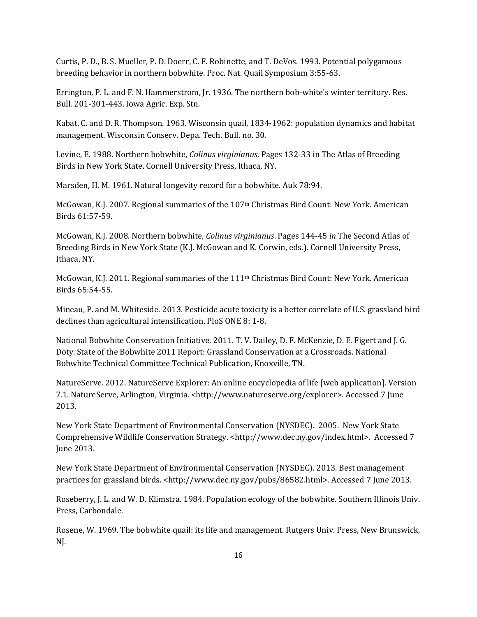Curtis, P. D., B. S. Mueller, P. D. Doerr, C. F. Robinette, and T. DeVos. 1993. Potential polygamous breeding behavior in northern bobwhite. Proc. Nat. Quail Symposium 3:55-63.

Errington, P. L. and F. N. Hammerstrom, Jr. 1936. The northern bob-white's winter territory. Res. Bull. 201-301-443. Iowa Agric. Exp. Stn.

Kabat, C. and D. R. Thompson. 1963. Wisconsin quail, 1834-1962: population dynamics and habitat management. Wisconsin Conserv. Depa. Tech. Bull. no. 30.

Levine, E. 1988. Northern bobwhite, *Colinus virginianus*. Pages 132-33 in The Atlas of Breeding Birds in New York State. Cornell University Press, Ithaca, NY.

Marsden, H. M. 1961. Natural longevity record for a bobwhite. Auk 78:94.

McGowan, K.J. 2007. Regional summaries of the 107th Christmas Bird Count: New York. American Birds 61:57-59.

McGowan, K.J. 2008. Northern bobwhite, *Colinus virginianus*. Pages 144-45 *in* The Second Atlas of Breeding Birds in New York State (K.J. McGowan and K. Corwin, eds.). Cornell University Press, Ithaca, NY.

McGowan, K.J. 2011. Regional summaries of the 111th Christmas Bird Count: New York. American Birds 65:54-55.

Mineau, P. and M. Whiteside. 2013. Pesticide acute toxicity is a better correlate of U.S. grassland bird declines than agricultural intensification. PloS ONE 8: 1-8.

National Bobwhite Conservation Initiative. 2011. T. V. Dailey, D. F. McKenzie, D. E. Figert and J. G. Doty. State of the Bobwhite 2011 Report: Grassland Conservation at a Crossroads. National Bobwhite Technical Committee Technical Publication, Knoxville, TN.

NatureServe. 2012. NatureServe Explorer: An online encyclopedia of life [web application]. Version 7.1. NatureServe, Arlington, Virginia. <http://www.natureserve.org/explorer>. Accessed 7 June 2013.

New York State Department of Environmental Conservation (NYSDEC). 2005. New York State Comprehensive Wildlife Conservation Strategy. <http://www.dec.ny.gov/index.html>. Accessed 7 June 2013.

New York State Department of Environmental Conservation (NYSDEC). 2013. Best management practices for grassland birds. <http://www.dec.ny.gov/pubs/86582.html>. Accessed 7 June 2013.

Roseberry, J. L. and W. D. Klimstra. 1984. Population ecology of the bobwhite. Southern Illinois Univ. Press, Carbondale.

Rosene, W. 1969. The bobwhite quail: its life and management. Rutgers Univ. Press, New Brunswick, NJ.